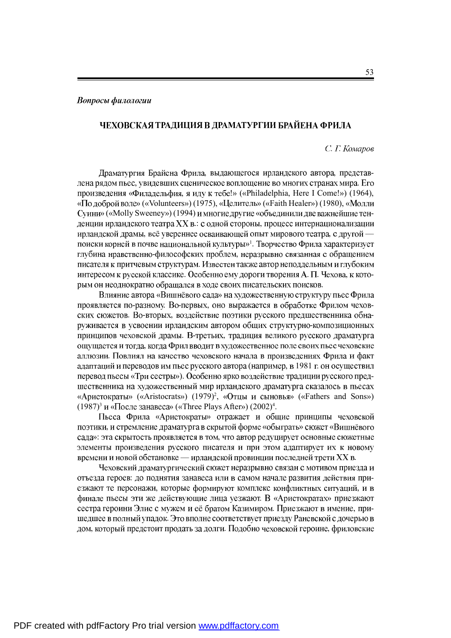## ЧЕХОВСКАЯ ТРАДИЦИЯ В ДРАМАТУРГИИ БРАЙЕНА ФРИЛА

## *С. Г. Комаров*

Драматургия Брайена Фрила, выдающегося ирландского автора, представлена рядом пьес, увидевших сценическое воплощение во многих странах мира. Его произведения «Филадельфия, я иду к тебе!» («Philadelphia, Here I Come!») (1964), «По доброй воле» («Volunteers») (1975), «Целитель» («Faith Healer») (1980), «Молли Суини» («Molly Sweeney») (1994) и многие другие «объединили две важнейшие тенденции ирландского театра XX в.: с одной стороны, процесс интернационализации ирландской драмы, всё увереннее осваивающей опыт мирового театра, с другой - $\mathcal{V}^1$ . глубина нравственно-философских проблем, неразрывно связанная с обращением писателя к притчевым структурам. Известен также автор неподдельным и глубоким интересом к русской классике. Особенно ему дороги творения А. П. Чехова, к которым он неоднократно обращался в ходе своих писательских поисков.

Влияние автора «Вишнёвого сада» на художественную структуру пьес Фрила проявляется по-разному. Во-первых, оно выражается в обработке Фрилом чеховских сюжетов. Во-вторых, воздействие поэтики русского предшественника обнаруживается в усвоении ирландским автором общих структурно-композиционных принципов чеховской драмы. В-третьих, традиция великого русского драматурга ощущается и тогда, когда Фрил вводит в художественное поле своих пьес чеховские аллюзии. Повлиял на качество чеховского начала в произведениях Фрила и факт адаптаций и переводов им пьес русского автора (например, в 1981 г. он осуществил перевод пьесы «Три сестры»). Особенно ярко воздействие традиции русского предшественника на художественный мир ирландского драматурга сказалось в пьесах «Аристократы» («Aristocrats») (1979)<sup>2</sup>, «Отцы и сыновья» («Fathers and Sons»)  $(1987)^3$  и «После занавеса» («Three Plays After»)  $(2002)^4$ .

Пьеса Фрила «Аристократы» отражает и общие принципы чеховской поэтики, и стремление драматурга в скрытой форме «обыграть» сюжет «Вишнёвого сада»: эта скрытость проявляется в том, что автор редуцирует основные сюжетные элементы произведения русского писателя и при этом адаптирует их к новому времени и новой обстановке — ирландской провинции последней трети XX в.

Чеховский драматургический сюжет неразрывно связан с мотивом приезда и отъезда героев: до поднятия занавеса или в самом начале развития действия приезжают те персонажи, которые формируют комплекс конфликтных ситуаций, и в финале пьесы эти же действующие лица уезжают. В «Аристократах» приезжают сестра героини Элис с мужем и её братом Казимиром. Приезжают в имение, пришедшее в полный упадок. Это вполне соответствует приезду Раневской с дочерью в дом, который предстоит продать за долги. Подобно чеховской героине, фриловские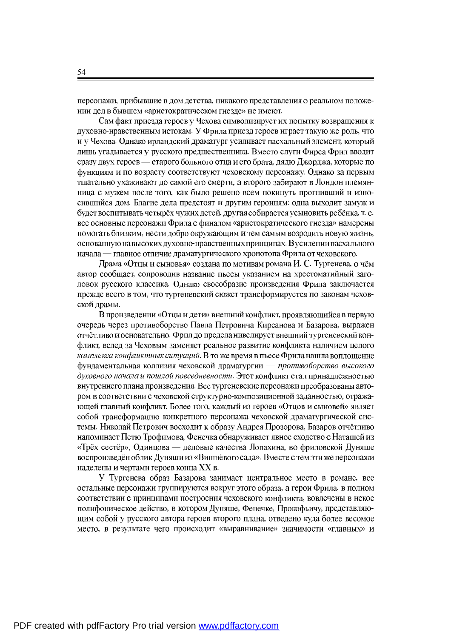персонажи, прибывшие в дом детства, никакого представления о реальном положении дел в бывшем «аристократическом гнезде» не имеют.

Сам факт приезда героев у Чехова символизирует их попытку возвращения к духовно-нравственным истокам. У Фрила приезд героев играет такую же роль, что и у Чехова. Однако ирландский драматург усиливает пасхальный элемент, который лишь угадывается у русского предшественника. Вместо слуги Фирса Фрил вводит сразу двух героев — старого больного отца и его брата, дядю Джорджа, которые по функциям и по возрасту соответствуют чеховскому персонажу. Однако за первым тщательно ухаживают до самой его смерти, а второго забирают в Лондон племянница с мужем после того, как было решено всем покинуть прогнивший и износившийся дом. Благие дела предстоят и другим героиням: одна выходит замуж и будет воспитывать четырёх чужих детей, другая собирается усыновить ребёнка, т.е. все основные персонажи Фрила с финалом «аристократического гнезда» намерены помогать близким, нести добро окружающим и тем самым возродить новую жизнь, основанную на высоких духовно-нравственных принципах. В усилении пасхального начала — главное отличие драматургического хронотопа Фрила от чеховского.

Драма «Отцы и сыновья» создана по мотивам романа И. С. Тургенева, о чём автор сообщает, сопроводив название пьесы указанием на хрестоматийный заголовок русского классика. Однако своеобразие произведения Фрила заключается прежде всего в том, что тургеневский сюжет трансформируется по законам чеховской драмы.

В произведении «Отцы и дети» внешний конфликт, проявляющийся в первую очередь через противоборство Павла Петровича Кирсанова и Базарова, выражен отчётливо и основательно. Фрил до предела нивелирует внешний тургеневский конфликт, вслед за Чеховым заменяет реальное развитие конфликта наличием целого комплекса конфликтных ситуаций. В то же время в пьесе Фрила нашла воплощение фундаментальная коллизия чеховской драматургии - противоборство высокого духовного начала и пошлой повседневности. Этот конфликт стал принадлежностью внутреннего плана произведения. Все тургеневские персонажи преобразованы автором в соответствии с чеховской структурно-композиционной заданностью, отражающей главный конфликт. Более того, каждый из героев «Отцов и сыновей» являет собой трансформацию конкретного персонажа чеховской драматургической системы. Николай Петрович восходит к образу Андрея Прозорова, Базаров отчётливо напоминает Петю Трофимова, Фенечка обнаруживает явное сходство с Наташей из «Трёх сестёр», Одинцова — деловые качества Лопахина, во фриловской Дуняше воспроизведён облик Дуняши из «Вишнёвого сада». Вместе с тем эти же персонажи наделены и чертами героев конца XX в.

У Тургенева образ Базарова занимает центральное место в романе, все остальные персонажи группируются вокруг этого образа, а герои Фрила, в полном соответствии с принципами построения чеховского конфликта, вовлечены в некое полифоническое действо, в котором Дуняше, Фенечке, Прокофьичу, представляюшим собой у русского автора героев второго плана, отведено куда более весомое место, в результате чего происходит «выравнивание» значимости «главных» и

54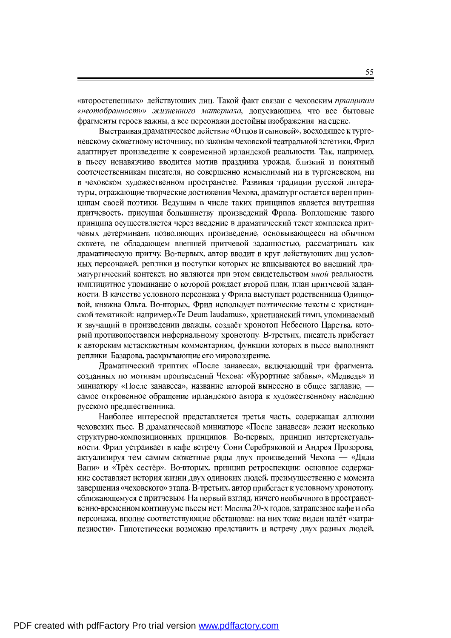«второстепенных» действующих лиц. Такой факт связан с чеховским принципом «неотобранности» жизненного материала, допускающим, что все бытовые фрагменты героев важны, а все персонажи достойны изображения на сцене.

Выстраивая драматическое действие «Отцов и сыновей», восходящее к тургеневскому сюжетному источнику, по законам чеховской театральной эстетики, Фрил адаптирует произведение к современной ирландской реальности. Так, например, в пьесу ненавязчиво вводится мотив праздника урожая, близкий и понятный соотечественникам писателя, но совершенно немыслимый ни в тургеневском, ни в чеховском художественном пространстве. Развивая традиции русской литературы, отражающие творческие достижения Чехова, драматург остаётся верен принципам своей поэтики. Ведущим в числе таких принципов является внутренняя притчевость, присущая большинству произведений Фрила. Воплощение такого принципа осуществляется через введение в драматический текст комплекса притчевых детерминант, позволяющих произведение, основывающееся на обычном сюжете, не обладающем внешней притчевой заданностью, рассматривать как драматическую притчу. Во-первых, автор вводит в круг действующих лиц условных персонажей, реплики и поступки которых не вписываются во внешний драматургический контекст, но являются при этом свидетельством иной реальности, имплицитное упоминание о которой рождает второй план, план притчевой заданности. В качестве условного персонажа у Фрила выступает родственница Одинцовой, княжна Ольга. Во-вторых, Фрил использует поэтические тексты с христианской тематикой: например, «Te Deum laudamus», христианский гимн, упоминаемый и звучащий в произведении дважды, создаёт хронотоп Небесного Царства, который противопоставлен инфернальному хронотопу. В-третьих, писатель прибегает к авторским метасюжетным комментариям, функции которых в пьесе выполняют реплики Базарова, раскрывающие его мировоззрение.

Драматический триптих «После занавеса», включающий три фрагмента, созданных по мотивам произведений Чехова: «Курортные забавы», «Медведь» и миниатюру «После занавеса», название которой вынесено в общее заглавие. самое откровенное обращение ирландского автора к художественному наследию русского предшественника.

Наиболее интересной представляется третья часть, содержащая аллюзии чеховских пьес. В драматической миниатюре «После занавеса» лежит несколько структурно-композиционных принципов. Во-первых, принцип интертекстуальности. Фрил устраивает в кафе встречу Сони Серебряковой и Андрея Прозорова, актуализируя тем самым сюжетные ряды двух произведений Чехова — «Дяди Вани» и «Трёх сестёр». Во-вторых, принцип ретроспекции: основное содержание составляет история жизни двух одиноких людей, преимущественно с момента завершения «чеховского» этапа. В-третьих, автор прибегает к условному хронотопу, сближающемуся с притчевым. На первый взгляд, ничего необычного в пространственно-временном континууме пьесы нет: Москва 20-х годов, затрапезное кафе и оба персонажа, вполне соответствующие обстановке: на них тоже виден налёт «затрапезности». Гипотетически возможно представить и встречу двух разных людей,